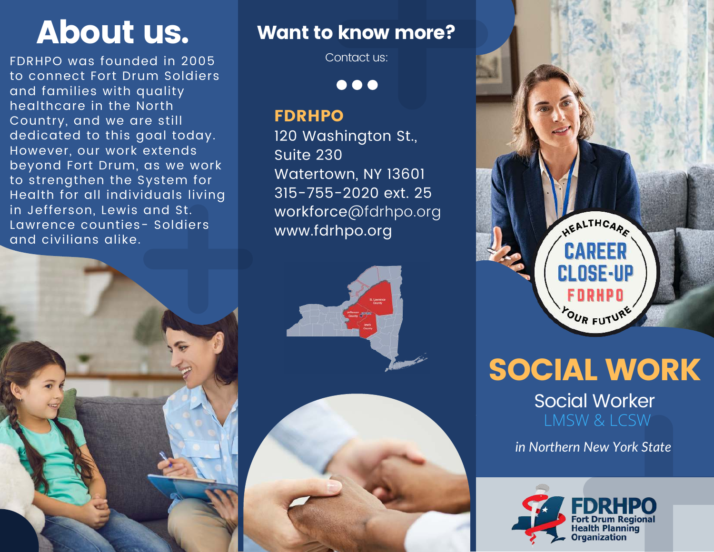FDRHPO was founded in 2005 to connect Fort Drum Soldiers and families with quality healthcare in the North Country, and we are still dedicated to this goal today. However, our work extends beyond Fort Drum, as we work to strengthen the System for Health for all individuals living in Jefferson, Lewis and St. Lawrence counties- Soldiers and civilians alike.



## About us. Want to know more?

Contact us:

 $\bullet\bullet\bullet$ 

#### FDRHPO

120 Washington St., Suite 230 Watertown, NY 13601 315-755-2020 ext. 25 workforce@fdrhpo.org www.fdrhpo.org







*in Northern New York State*